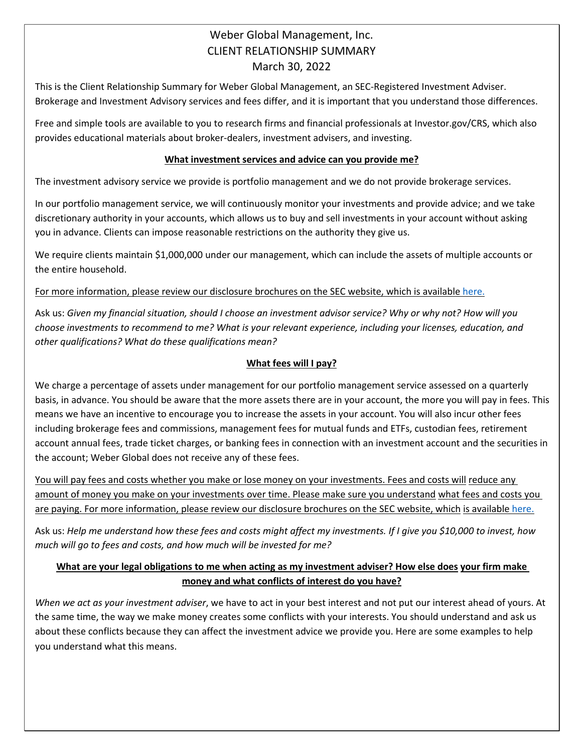# Weber Global Management, Inc. CLIENT RELATIONSHIP SUMMARY March 30, 2022

This is the Client Relationship Summary for Weber Global Management, an SEC-Registered Investment Adviser. Brokerage and Investment Advisory services and fees differ, and it is important that you understand those differences.

Free and simple tools are available to you to research firms and financial professionals at Investor.gov/CRS, which also provides educational materials about broker-dealers, investment advisers, and investing.

#### **What investment services and advice can you provide me?**

The investment advisory service we provide is portfolio management and we do not provide brokerage services.

In our portfolio management service, we will continuously monitor your investments and provide advice; and we take discretionary authority in your accounts, which allows us to buy and sell investments in your account without asking you in advance. Clients can impose reasonable restrictions on the authority they give us.

We require clients maintain \$1,000,000 under our management, which can include the assets of multiple accounts or the entire household.

For more information, please review our disclosure brochures on the SEC website, which is available here.

Ask us: *Given my financial situation, should I choose an investment advisor service? Why or why not? How will you choose investments to recommend to me? What is your relevant experience, including your licenses, education, and other qualifications? What do these qualifications mean?*

### **What fees will I pay?**

We charge a percentage of assets under management for our portfolio management service assessed on a quarterly basis, in advance. You should be aware that the more assets there are in your account, the more you will pay in fees. This means we have an incentive to encourage you to increase the assets in your account. You will also incur other fees including brokerage fees and commissions, management fees for mutual funds and ETFs, custodian fees, retirement account annual fees, trade ticket charges, or banking fees in connection with an investment account and the securities in the account; Weber Global does not receive any of these fees.

You will pay fees and costs whether you make or lose money on your investments. Fees and costs will reduce any amount of money you make on your investments over time. Please make sure you understand what fees and costs you are paying. For more information, please review our disclosure brochures on the SEC website, which is available here.

Ask us: *Help me understand how these fees and costs might affect my investments. If I give you \$10,000 to invest, how much will go to fees and costs, and how much will be invested for me?*

### **What are your legal obligations to me when acting as my investment adviser? How else does your firm make money and what conflicts of interest do you have?**

*When we act as your investment adviser*, we have to act in your best interest and not put our interest ahead of yours. At the same time, the way we make money creates some conflicts with your interests. You should understand and ask us about these conflicts because they can affect the investment advice we provide you. Here are some examples to help you understand what this means.